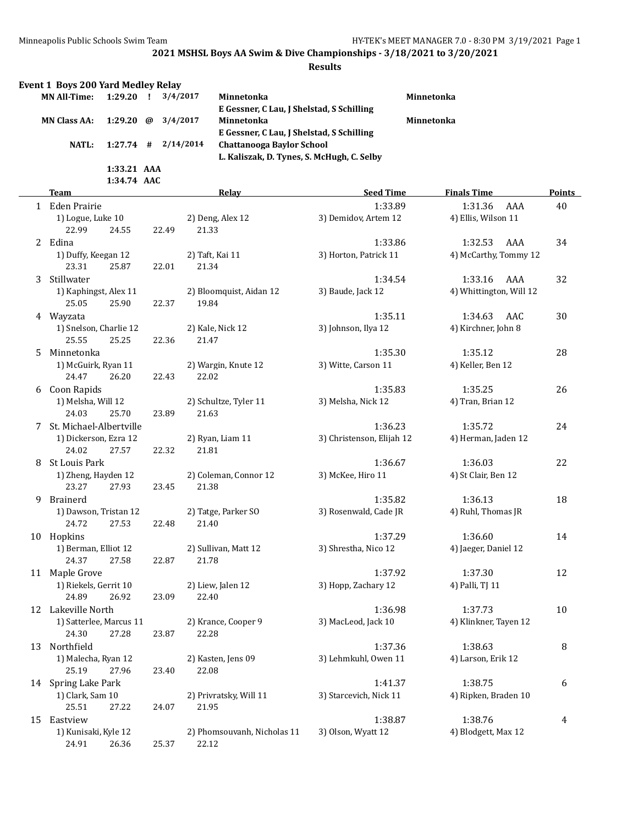|    | Event 1 Boys 200 Yard Medley Relay<br><b>MN All-Time:</b> | $1:29.20$ ! |   |       | 3/4/2017  | Minnetonka<br>E Gessner, C Lau, J Shelstad, S Schilling |                           | Minnetonka |                         |     |               |
|----|-----------------------------------------------------------|-------------|---|-------|-----------|---------------------------------------------------------|---------------------------|------------|-------------------------|-----|---------------|
|    | <b>MN Class AA:</b>                                       | 1:29.20     | @ |       | 3/4/2017  | Minnetonka                                              |                           | Minnetonka |                         |     |               |
|    |                                                           |             |   |       |           | E Gessner, C Lau, J Shelstad, S Schilling               |                           |            |                         |     |               |
|    | <b>NATL:</b>                                              | $1:27.74$ # |   |       | 2/14/2014 | <b>Chattanooga Baylor School</b>                        |                           |            |                         |     |               |
|    |                                                           |             |   |       |           | L. Kaliszak, D. Tynes, S. McHugh, C. Selby              |                           |            |                         |     |               |
|    |                                                           | 1:33.21 AAA |   |       |           |                                                         |                           |            |                         |     |               |
|    |                                                           | 1:34.74 AAC |   |       |           |                                                         |                           |            |                         |     |               |
|    | Team                                                      |             |   |       |           | Relay                                                   | <b>Seed Time</b>          |            | <b>Finals Time</b>      |     | <b>Points</b> |
|    | 1 Eden Prairie                                            |             |   |       |           |                                                         | 1:33.89                   |            | 1:31.36                 | AAA | 40            |
|    | 1) Logue, Luke 10                                         |             |   |       |           | 2) Deng, Alex 12                                        | 3) Demidov, Artem 12      |            | 4) Ellis, Wilson 11     |     |               |
|    | 22.99                                                     | 24.55       |   | 22.49 | 21.33     |                                                         |                           |            |                         |     |               |
|    | 2 Edina                                                   |             |   |       |           |                                                         | 1:33.86                   |            | 1:32.53                 | AAA | 34            |
|    | 1) Duffy, Keegan 12                                       |             |   |       |           | 2) Taft, Kai 11                                         | 3) Horton, Patrick 11     |            | 4) McCarthy, Tommy 12   |     |               |
|    | 23.31                                                     | 25.87       |   | 22.01 | 21.34     |                                                         |                           |            |                         |     |               |
| 3  | Stillwater                                                |             |   |       |           |                                                         | 1:34.54                   |            | 1:33.16                 | AAA | 32            |
|    | 1) Kaphingst, Alex 11                                     |             |   |       |           | 2) Bloomquist, Aidan 12                                 | 3) Baude, Jack 12         |            | 4) Whittington, Will 12 |     |               |
|    | 25.05                                                     | 25.90       |   | 22.37 | 19.84     |                                                         |                           |            |                         |     |               |
|    | 4 Wayzata                                                 |             |   |       |           |                                                         | 1:35.11                   |            | 1:34.63                 | AAC | 30            |
|    | 1) Snelson, Charlie 12                                    |             |   |       |           | 2) Kale, Nick 12                                        | 3) Johnson, Ilya 12       |            | 4) Kirchner, John 8     |     |               |
|    | 25.55                                                     | 25.25       |   | 22.36 | 21.47     |                                                         |                           |            |                         |     |               |
| 5. | Minnetonka                                                |             |   |       |           |                                                         | 1:35.30                   |            | 1:35.12                 |     | 28            |
|    | 1) McGuirk, Ryan 11                                       |             |   |       |           | 2) Wargin, Knute 12                                     | 3) Witte, Carson 11       |            | 4) Keller, Ben 12       |     |               |
|    | 24.47                                                     | 26.20       |   | 22.43 | 22.02     |                                                         |                           |            |                         |     |               |
|    | 6 Coon Rapids                                             |             |   |       |           |                                                         | 1:35.83                   |            | 1:35.25                 |     | 26            |
|    | 1) Melsha, Will 12                                        |             |   |       |           | 2) Schultze, Tyler 11                                   | 3) Melsha, Nick 12        |            | 4) Tran, Brian 12       |     |               |
|    | 24.03                                                     | 25.70       |   | 23.89 | 21.63     |                                                         |                           |            |                         |     |               |
| 7  | St. Michael-Albertville                                   |             |   |       |           |                                                         | 1:36.23                   |            | 1:35.72                 |     | 24            |
|    | 1) Dickerson, Ezra 12                                     |             |   |       |           | 2) Ryan, Liam 11                                        | 3) Christenson, Elijah 12 |            | 4) Herman, Jaden 12     |     |               |
|    | 24.02                                                     | 27.57       |   | 22.32 | 21.81     |                                                         |                           |            |                         |     |               |
| 8  | St Louis Park                                             |             |   |       |           |                                                         | 1:36.67                   |            | 1:36.03                 |     | 22            |
|    | 1) Zheng, Hayden 12                                       |             |   |       |           | 2) Coleman, Connor 12                                   | 3) McKee, Hiro 11         |            | 4) St Clair, Ben 12     |     |               |
|    | 23.27                                                     | 27.93       |   | 23.45 | 21.38     |                                                         |                           |            |                         |     |               |
| 9  | Brainerd                                                  |             |   |       |           |                                                         | 1:35.82                   |            | 1:36.13                 |     | 18            |
|    | 1) Dawson, Tristan 12                                     |             |   |       |           | 2) Tatge, Parker SO                                     | 3) Rosenwald, Cade JR     |            | 4) Ruhl, Thomas JR      |     |               |
|    | 24.72                                                     | 27.53       |   | 22.48 | 21.40     |                                                         |                           |            |                         |     |               |
|    | 10 Hopkins                                                |             |   |       |           |                                                         | 1:37.29                   |            | 1:36.60                 |     | 14            |
|    | 1) Berman, Elliot 12                                      |             |   |       |           | 2) Sullivan, Matt 12                                    | 3) Shrestha, Nico 12      |            | 4) Jaeger, Daniel 12    |     |               |
|    | 24.37                                                     | 27.58       |   | 22.87 | 21.78     |                                                         |                           |            |                         |     |               |
| 11 | Maple Grove                                               |             |   |       |           |                                                         | 1:37.92                   |            | 1:37.30                 |     | 12            |
|    | 1) Riekels, Gerrit 10                                     |             |   |       |           | 2) Liew, Jalen 12                                       | 3) Hopp, Zachary 12       |            | 4) Palli, TJ 11         |     |               |
|    | 24.89                                                     | 26.92       |   | 23.09 | 22.40     |                                                         |                           |            |                         |     |               |
|    | 12 Lakeville North                                        |             |   |       |           |                                                         | 1:36.98                   |            | 1:37.73                 |     | 10            |
|    | 1) Satterlee, Marcus 11                                   |             |   |       |           | 2) Krance, Cooper 9                                     | 3) MacLeod, Jack 10       |            | 4) Klinkner, Tayen 12   |     |               |
|    | 24.30                                                     | 27.28       |   | 23.87 | 22.28     |                                                         |                           |            |                         |     |               |
| 13 | Northfield                                                |             |   |       |           |                                                         | 1:37.36                   |            | 1:38.63                 |     | 8             |
|    | 1) Malecha, Ryan 12                                       |             |   |       |           | 2) Kasten, Jens 09                                      | 3) Lehmkuhl, Owen 11      |            | 4) Larson, Erik 12      |     |               |
|    | 25.19                                                     | 27.96       |   | 23.40 | 22.08     |                                                         |                           |            |                         |     |               |
|    | 14 Spring Lake Park                                       |             |   |       |           |                                                         | 1:41.37                   |            | 1:38.75                 |     | 6             |
|    | 1) Clark, Sam 10<br>25.51                                 |             |   | 24.07 | 21.95     | 2) Privratsky, Will 11                                  | 3) Starcevich, Nick 11    |            | 4) Ripken, Braden 10    |     |               |
|    | 15 Eastview                                               | 27.22       |   |       |           |                                                         | 1:38.87                   |            | 1:38.76                 |     | 4             |
|    | 1) Kunisaki, Kyle 12                                      |             |   |       |           | 2) Phomsouvanh, Nicholas 11                             | 3) Olson, Wyatt 12        |            | 4) Blodgett, Max 12     |     |               |
|    | 24.91                                                     | 26.36       |   | 25.37 | 22.12     |                                                         |                           |            |                         |     |               |
|    |                                                           |             |   |       |           |                                                         |                           |            |                         |     |               |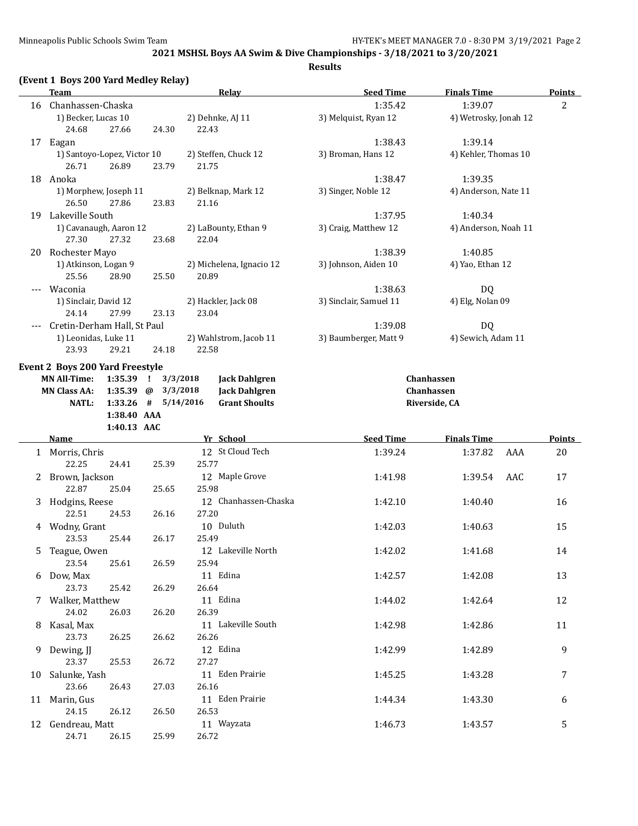|    | <b>Team</b>                            |                         | <b>Relay</b>              | <b>Seed Time</b>       | <b>Finals Time</b>    | <b>Points</b>  |
|----|----------------------------------------|-------------------------|---------------------------|------------------------|-----------------------|----------------|
|    | 16 Chanhassen-Chaska                   |                         |                           | 1:35.42                | 1:39.07               | $\overline{2}$ |
|    | 1) Becker, Lucas 10<br>24.68<br>27.66  | 24.30                   | 2) Dehnke, AJ 11<br>22.43 | 3) Melquist, Ryan 12   | 4) Wetrosky, Jonah 12 |                |
|    | 17 Eagan                               |                         |                           | 1:38.43                | 1:39.14               |                |
|    | 1) Santoyo-Lopez, Victor 10            |                         | 2) Steffen, Chuck 12      | 3) Broman, Hans 12     | 4) Kehler, Thomas 10  |                |
|    | 26.71<br>26.89                         | 23.79                   | 21.75                     |                        |                       |                |
|    | 18 Anoka                               |                         |                           | 1:38.47                | 1:39.35               |                |
|    | 1) Morphew, Joseph 11                  |                         | 2) Belknap, Mark 12       | 3) Singer, Noble 12    | 4) Anderson, Nate 11  |                |
|    | 26.50<br>27.86                         | 23.83                   | 21.16                     |                        |                       |                |
|    | 19 Lakeville South                     |                         |                           | 1:37.95                | 1:40.34               |                |
|    | 1) Cavanaugh, Aaron 12                 |                         | 2) LaBounty, Ethan 9      | 3) Craig, Matthew 12   | 4) Anderson, Noah 11  |                |
|    | 27.30<br>27.32                         | 23.68                   | 22.04                     |                        |                       |                |
|    | 20 Rochester Mayo                      |                         |                           | 1:38.39                | 1:40.85               |                |
|    | 1) Atkinson, Logan 9                   |                         | 2) Michelena, Ignacio 12  | 3) Johnson, Aiden 10   | 4) Yao, Ethan 12      |                |
|    | 25.56<br>28.90                         | 25.50                   | 20.89                     |                        |                       |                |
|    | Waconia                                |                         |                           | 1:38.63                | DQ                    |                |
|    | 1) Sinclair, David 12                  |                         | 2) Hackler, Jack 08       | 3) Sinclair, Samuel 11 | 4) Elg, Nolan 09      |                |
|    | 27.99<br>24.14                         | 23.13                   | 23.04                     |                        |                       |                |
|    | Cretin-Derham Hall, St Paul            |                         |                           | 1:39.08                | <b>DQ</b>             |                |
|    | 1) Leonidas, Luke 11                   |                         | 2) Wahlstrom, Jacob 11    | 3) Baumberger, Matt 9  | 4) Sewich, Adam 11    |                |
|    | 23.93<br>29.21                         | 24.18                   | 22.58                     |                        |                       |                |
|    |                                        |                         |                           |                        |                       |                |
|    | <b>Event 2 Boys 200 Yard Freestyle</b> |                         |                           |                        |                       |                |
|    | <b>MN All-Time:</b><br>1:35.39 !       | 3/3/2018                | <b>Jack Dahlgren</b>      |                        | Chanhassen            |                |
|    | <b>MN Class AA:</b><br>1:35.39 $@$     | 3/3/2018                | <b>Jack Dahlgren</b>      |                        | Chanhassen            |                |
|    | NATL:                                  | $1:33.26$ # $5/14/2016$ | <b>Grant Shoults</b>      |                        | Riverside, CA         |                |
|    | 1:38.40 AAA                            |                         |                           |                        |                       |                |
|    | 1:40.13 AAC<br>Name                    |                         | Yr School                 | <b>Seed Time</b>       | <b>Finals Time</b>    | <b>Points</b>  |
|    |                                        |                         | 12 St Cloud Tech          |                        |                       |                |
|    | 1 Morris, Chris                        |                         |                           | 1:39.24                | 1:37.82<br>AAA        | 20             |
|    | 22.25<br>24.41                         | 25.39                   | 25.77                     |                        |                       |                |
|    | 2 Brown, Jackson                       |                         | 12 Maple Grove            | 1:41.98                | AAC<br>1:39.54        | 17             |
|    | 22.87<br>25.04                         | 25.65                   | 25.98                     |                        |                       |                |
|    | 3 Hodgins, Reese                       |                         | 12 Chanhassen-Chaska      | 1:42.10                | 1:40.40               | 16             |
|    | 22.51<br>24.53                         | 26.16                   | 27.20                     |                        |                       |                |
|    | 4 Wodny, Grant                         |                         | 10 Duluth                 | 1:42.03                | 1:40.63               | 15             |
|    | 23.53<br>25.44                         | 26.17                   | 25.49                     |                        |                       |                |
| 5  | Teague, Owen                           |                         | 12 Lakeville North        | 1:42.02                | 1:41.68               | 14             |
|    | 23.54<br>25.61                         | 26.59                   | 25.94                     |                        |                       |                |
|    | 6 Dow, Max                             |                         | 11 Edina                  | 1:42.57                | 1:42.08               | 13             |
|    | 23.73<br>25.42                         | 26.29                   | 26.64                     |                        |                       |                |
|    | 7 Walker, Matthew                      |                         | 11 Edina                  | 1:44.02                | 1:42.64               | 12             |
|    | 24.02<br>26.03                         | 26.20                   | 26.39                     |                        |                       |                |
| 8  | Kasal, Max                             |                         | 11 Lakeville South        | 1:42.98                | 1:42.86               | 11             |
|    | 23.73<br>26.25                         | 26.62                   | 26.26                     |                        |                       |                |
|    | 9 Dewing, JJ                           |                         | 12 Edina                  | 1:42.99                | 1:42.89               | 9              |
|    | 23.37<br>25.53                         | 26.72                   | 27.27                     |                        |                       |                |
| 10 | Salunke, Yash                          |                         | 11 Eden Prairie           | 1:45.25                | 1:43.28               | 7              |
|    | 23.66<br>26.43                         | 27.03                   | 26.16                     |                        |                       |                |
|    | 11 Marin, Gus                          |                         | 11 Eden Prairie           | 1:44.34                | 1:43.30               | 6              |
|    | 24.15<br>26.12                         | 26.50                   | 26.53                     |                        |                       |                |
|    | 12 Gendreau, Matt                      |                         | 11 Wayzata                | 1:46.73                | 1:43.57               | 5              |
|    | 24.71<br>26.15                         | 25.99                   | 26.72                     |                        |                       |                |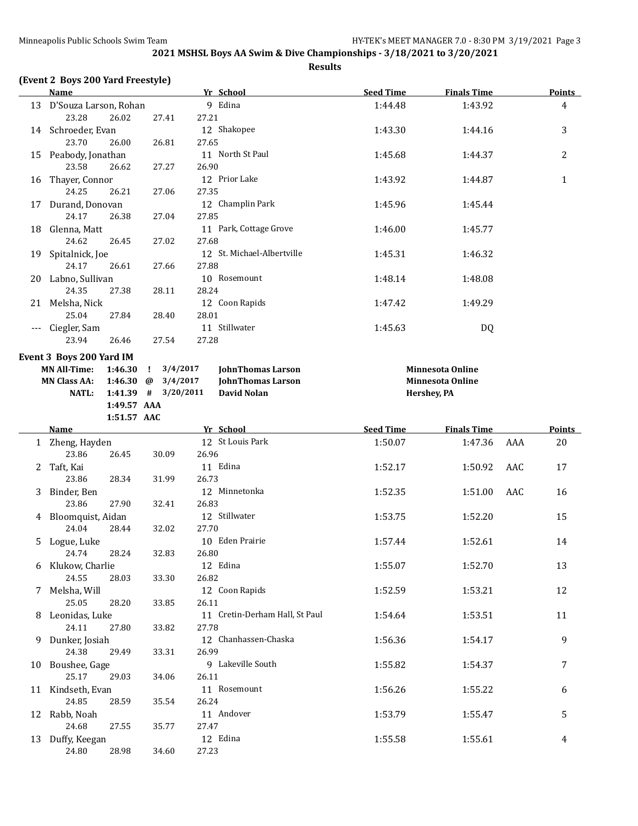**Results**

## **(Event 2 Boys 200 Yard Freestyle)**

|          | Name                                       |                          | Yr School                           | <b>Seed Time</b> | <b>Finals Time</b>      |     | <b>Points</b>  |
|----------|--------------------------------------------|--------------------------|-------------------------------------|------------------|-------------------------|-----|----------------|
|          | 13 D'Souza Larson, Rohan<br>23.28<br>26.02 | 27.41                    | 9 Edina<br>27.21                    | 1:44.48          | 1:43.92                 |     | 4              |
|          | 14 Schroeder, Evan<br>23.70<br>26.00       | 26.81                    | 12 Shakopee<br>27.65                | 1:43.30          | 1:44.16                 |     | 3              |
|          | 15 Peabody, Jonathan<br>23.58<br>26.62     | 27.27                    | 11 North St Paul<br>26.90           | 1:45.68          | 1:44.37                 |     | $\overline{2}$ |
| 16       | Thayer, Connor<br>24.25<br>26.21           | 27.06                    | 12 Prior Lake<br>27.35              | 1:43.92          | 1:44.87                 |     | $\mathbf{1}$   |
| 17       | Durand, Donovan<br>24.17<br>26.38          | 27.04                    | 12 Champlin Park<br>27.85           | 1:45.96          | 1:45.44                 |     |                |
|          | 18 Glenna, Matt<br>24.62<br>26.45          | 27.02                    | 11 Park, Cottage Grove<br>27.68     | 1:46.00          | 1:45.77                 |     |                |
|          | 19 Spitalnick, Joe<br>24.17<br>26.61       | 27.66                    | 12 St. Michael-Albertville<br>27.88 | 1:45.31          | 1:46.32                 |     |                |
|          | 20 Labno, Sullivan<br>24.35<br>27.38       | 28.11                    | 10 Rosemount<br>28.24               | 1:48.14          | 1:48.08                 |     |                |
|          | 21 Melsha, Nick<br>25.04<br>27.84          | 28.40                    | 12 Coon Rapids<br>28.01             | 1:47.42          | 1:49.29                 |     |                |
| $\cdots$ | Ciegler, Sam<br>23.94<br>26.46             | 27.54                    | 11 Stillwater<br>27.28              | 1:45.63          | DQ                      |     |                |
|          | Event 3 Boys 200 Yard IM                   |                          |                                     |                  |                         |     |                |
|          | <b>MN All-Time:</b><br>1:46.30             | 3/4/2017<br>$\mathbf{I}$ | <b>JohnThomas Larson</b>            |                  | <b>Minnesota Online</b> |     |                |
|          | <b>MN Class AA:</b><br>1:46.30 $\omega$    | 3/4/2017                 | <b>JohnThomas Larson</b>            |                  | <b>Minnesota Online</b> |     |                |
|          | <b>NATL:</b>                               | $1:41.39$ # $3/20/2011$  | <b>David Nolan</b>                  |                  | Hershey, PA             |     |                |
|          | 1:49.57 AAA                                |                          |                                     |                  |                         |     |                |
|          | 1:51.57 AAC                                |                          |                                     |                  |                         |     |                |
|          | Name                                       |                          | Yr School                           | <b>Seed Time</b> | <b>Finals Time</b>      |     | <b>Points</b>  |
|          | 1 Zheng, Hayden                            |                          | 12 St Louis Park                    | 1:50.07          | 1:47.36                 | AAA | 20             |
|          | 23.86<br>26.45                             | 30.09                    | 26.96                               |                  |                         |     |                |
|          | 2 Taft, Kai                                |                          | 11 Edina                            | 1:52.17          | 1:50.92                 | AAC | 17             |
|          | 23.86<br>28.34<br>3 Binder, Ben            | 31.99                    | 26.73<br>12 Minnetonka              | 1:52.35          |                         | AAC |                |
|          | 23.86<br>27.90                             | 32.41                    | 26.83                               |                  | 1:51.00                 |     | 16             |
|          | 4 Bloomquist, Aidan                        |                          | 12 Stillwater                       | 1:53.75          | 1:52.20                 |     | 15             |
|          | 24.04<br>28.44                             | 32.02                    | 27.70                               |                  |                         |     |                |
| 5.       | Logue, Luke                                |                          | 10 Eden Prairie                     | 1:57.44          | 1:52.61                 |     | 14             |
|          | 24.74<br>28.24                             | 32.83                    | 26.80                               |                  |                         |     |                |
|          | 6 Klukow, Charlie                          |                          | 12 Edina                            | 1:55.07          | 1:52.70                 |     | 13             |
|          | 24.55<br>28.03                             | 33.30                    | 26.82                               |                  |                         |     |                |
| 7        | Melsha, Will                               |                          | 12 Coon Rapids                      | 1:52.59          | 1:53.21                 |     | 12             |
|          | 25.05<br>28.20                             | 33.85                    | 26.11                               |                  |                         |     |                |
| 8        | Leonidas, Luke                             |                          | 11 Cretin-Derham Hall, St Paul      | 1:54.64          | 1:53.51                 |     | 11             |
|          | 24.11<br>27.80                             | 33.82                    | 27.78                               |                  |                         |     |                |
| 9        | Dunker, Josiah                             |                          | 12 Chanhassen-Chaska                | 1:56.36          | 1:54.17                 |     | 9              |
|          | 24.38<br>29.49                             | 33.31                    | 26.99                               |                  |                         |     |                |
| 10       | Boushee, Gage<br>25.17<br>29.03            | 34.06                    | 9 Lakeville South<br>26.11          | 1:55.82          | 1:54.37                 |     | 7              |
|          | 11 Kindseth, Evan                          |                          | 11 Rosemount                        | 1:56.26          | 1:55.22                 |     | 6              |
|          | 24.85<br>28.59                             | 35.54                    | 26.24                               |                  |                         |     |                |
|          | 12 Rabb, Noah                              |                          | 11 Andover                          | 1:53.79          | 1:55.47                 |     | 5              |
|          | 24.68<br>27.55                             | 35.77                    | 27.47                               |                  |                         |     |                |
|          | 13 Duffy, Keegan                           |                          | 12 Edina                            | 1:55.58          | 1:55.61                 |     | 4              |
|          | 24.80<br>28.98                             | 34.60                    | 27.23                               |                  |                         |     |                |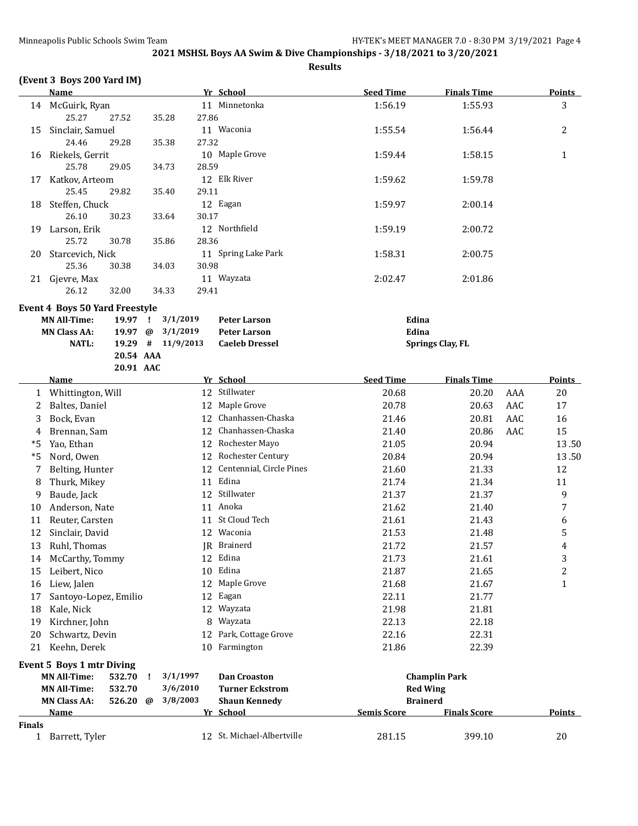**Results**

## **(Event 3 Boys 200 Yard IM)**

|               | <b>Name</b>                                                       |           |                      | Yr School                                  | <b>Seed Time</b>   | <b>Finals Time</b>      |     | <b>Points</b> |
|---------------|-------------------------------------------------------------------|-----------|----------------------|--------------------------------------------|--------------------|-------------------------|-----|---------------|
|               | 14 McGuirk, Ryan<br>25.27<br>27.52                                | 35.28     | 27.86                | 11 Minnetonka                              | 1:56.19            | 1:55.93                 |     | 3             |
| 15            | Sinclair, Samuel<br>24.46<br>29.28                                | 35.38     | 27.32                | 11 Waconia                                 | 1:55.54            | 1:56.44                 |     | 2             |
| 16            | Riekels, Gerrit<br>25.78<br>29.05                                 |           |                      | 10 Maple Grove                             | 1:59.44            | 1:58.15                 |     | $\mathbf{1}$  |
| 17            | Katkov, Arteom                                                    | 34.73     | 28.59                | 12 Elk River                               | 1:59.62            | 1:59.78                 |     |               |
| 18            | 25.45<br>29.82<br>Steffen, Chuck                                  | 35.40     | 29.11                | 12 Eagan                                   | 1:59.97            | 2:00.14                 |     |               |
| 19            | 26.10<br>30.23<br>Larson, Erik                                    | 33.64     | 30.17                | 12 Northfield                              | 1:59.19            | 2:00.72                 |     |               |
| 20            | 25.72<br>30.78<br>Starcevich, Nick                                | 35.86     | 28.36                | 11 Spring Lake Park                        | 1:58.31            | 2:00.75                 |     |               |
|               | 25.36<br>30.38<br>21 Gjevre, Max                                  | 34.03     | 30.98                | 11 Wayzata                                 | 2:02.47            | 2:01.86                 |     |               |
|               | 26.12<br>32.00<br><b>Event 4 Boys 50 Yard Freestyle</b>           | 34.33     | 29.41                |                                            |                    |                         |     |               |
|               | <b>MN All-Time:</b><br>19.97<br><b>MN Class AA:</b><br>19.97      | - 1<br>@  | 3/1/2019<br>3/1/2019 | <b>Peter Larson</b><br><b>Peter Larson</b> | Edina<br>Edina     |                         |     |               |
|               | <b>NATL:</b>                                                      | 20.54 AAA | 19.29 # 11/9/2013    | <b>Caeleb Dressel</b>                      |                    | <b>Springs Clay, FL</b> |     |               |
|               | <b>Name</b>                                                       | 20.91 AAC |                      | Yr School                                  | <b>Seed Time</b>   | <b>Finals Time</b>      |     | <b>Points</b> |
|               |                                                                   |           |                      | 12 Stillwater                              | 20.68              |                         |     | 20            |
| 1             | Whittington, Will                                                 |           |                      | 12 Maple Grove                             | 20.78              | 20.20                   | AAA |               |
| 2             | Baltes, Daniel                                                    |           |                      | 12 Chanhassen-Chaska                       |                    | 20.63                   | AAC | 17            |
| 3             | Bock, Evan                                                        |           |                      | 12 Chanhassen-Chaska                       | 21.46              | 20.81                   | AAC | 16            |
| 4             | Brennan, Sam                                                      |           |                      |                                            | 21.40              | 20.86                   | AAC | 15            |
| *5<br>$*5$    | Yao, Ethan                                                        |           |                      | 12 Rochester Mayo<br>12 Rochester Century  | 21.05              | 20.94                   |     | 13.50         |
|               | Nord, Owen                                                        |           |                      | 12 Centennial, Circle Pines                | 20.84              | 20.94                   |     | 13.50<br>12   |
| 7             | Belting, Hunter                                                   |           |                      | 11 Edina                                   | 21.60<br>21.74     | 21.33<br>21.34          |     | 11            |
| 8<br>9        | Thurk, Mikey                                                      |           |                      | 12 Stillwater                              |                    |                         |     | 9             |
| 10            | Baude, Jack<br>Anderson, Nate                                     |           |                      | 11 Anoka                                   | 21.37<br>21.62     | 21.37<br>21.40          |     | 7             |
| 11            | Reuter, Carsten                                                   |           |                      | 11 St Cloud Tech                           | 21.61              | 21.43                   |     | 6             |
| 12            | Sinclair, David                                                   |           |                      | 12 Waconia                                 | 21.53              | 21.48                   |     | 5             |
| 13            | Ruhl, Thomas                                                      |           |                      | JR Brainerd                                | 21.72              | 21.57                   |     | 4             |
|               | 14 McCarthy, Tommy                                                |           |                      | 12 Edina                                   | 21.73              | 21.61                   |     | 3             |
| 15            | Leibert, Nico                                                     |           | 10                   | Edina                                      | 21.87              | 21.65                   |     | 2             |
| 16            | Liew, Jalen                                                       |           |                      | 12 Maple Grove                             | 21.68              | 21.67                   |     | $\mathbf{1}$  |
| 17            | Santoyo-Lopez, Emilio                                             |           |                      | 12 Eagan                                   | 22.11              | 21.77                   |     |               |
| 18            | Kale, Nick                                                        |           | 12                   | Wayzata                                    | 21.98              | 21.81                   |     |               |
| 19            | Kirchner, John                                                    |           | 8                    | Wayzata                                    | 22.13              | 22.18                   |     |               |
| 20            | Schwartz, Devin                                                   |           | 12                   | Park, Cottage Grove                        | 22.16              | 22.31                   |     |               |
|               | 21 Keehn, Derek                                                   |           |                      | 10 Farmington                              | 21.86              | 22.39                   |     |               |
|               | <b>Event 5 Boys 1 mtr Diving</b><br><b>MN All-Time:</b><br>532.70 |           | 3/1/1997             | <b>Dan Croaston</b>                        |                    | <b>Champlin Park</b>    |     |               |
|               | <b>MN All-Time:</b><br>532.70                                     |           | 3/6/2010             | <b>Turner Eckstrom</b>                     | <b>Red Wing</b>    |                         |     |               |
|               | <b>MN Class AA:</b><br>526.20                                     | @         | 3/8/2003             | <b>Shaun Kennedy</b>                       | <b>Brainerd</b>    |                         |     |               |
|               | Name                                                              |           |                      | Yr School                                  | <b>Semis Score</b> | <b>Finals Score</b>     |     | <b>Points</b> |
| <b>Finals</b> |                                                                   |           |                      |                                            |                    |                         |     |               |
|               | 1 Barrett, Tyler                                                  |           |                      | 12 St. Michael-Albertville                 | 281.15             | 399.10                  |     | 20            |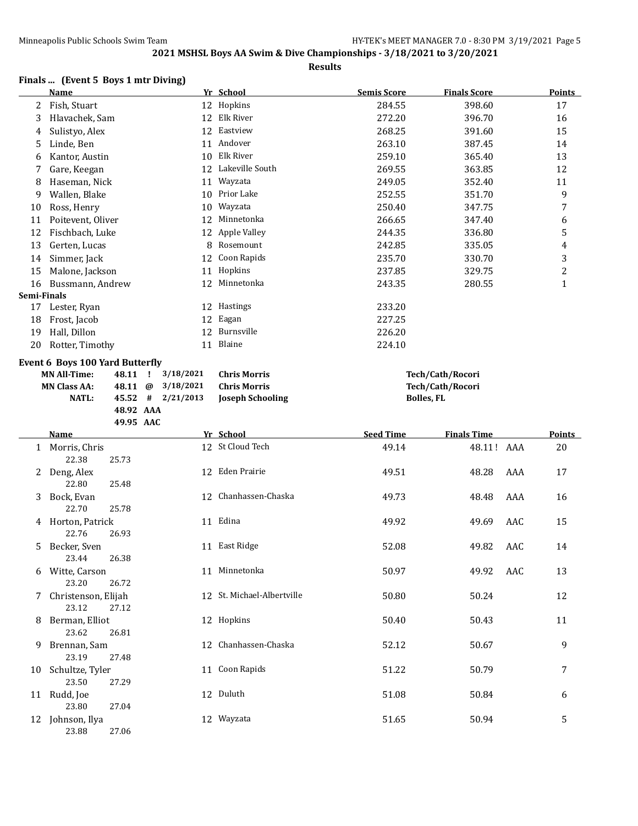**Results**

## **Finals ... (Event 5 Boys 1 mtr Diving)**

|             | <b>Name</b>                     |           |                           | Yr School                  | <b>Semis Score</b> | <b>Finals Score</b> | <b>Points</b> |
|-------------|---------------------------------|-----------|---------------------------|----------------------------|--------------------|---------------------|---------------|
| 2           | Fish, Stuart                    |           |                           | 12 Hopkins                 | 284.55             | 398.60              | 17            |
| 3           | Hlavachek, Sam                  |           |                           | 12 Elk River               | 272.20             | 396.70              | 16            |
| 4           | Sulistyo, Alex                  |           |                           | 12 Eastview                | 268.25             | 391.60              | 15            |
| 5           | Linde, Ben                      |           |                           | 11 Andover                 | 263.10             | 387.45              | 14            |
| 6           | Kantor, Austin                  |           | 10                        | Elk River                  | 259.10             | 365.40              | 13            |
| 7           | Gare, Keegan                    |           | 12                        | Lakeville South            | 269.55             | 363.85              | 12            |
| 8           | Haseman, Nick                   |           | 11                        | Wayzata                    | 249.05             | 352.40              | 11            |
| 9           | Wallen, Blake                   |           | 10                        | Prior Lake                 | 252.55             | 351.70              | 9             |
| 10          | Ross, Henry                     |           | 10                        | Wayzata                    | 250.40             | 347.75              | 7             |
| 11          | Poitevent, Oliver               |           | 12                        | Minnetonka                 | 266.65             | 347.40              | 6             |
| 12          | Fischbach, Luke                 |           | 12                        | Apple Valley               | 244.35             | 336.80              | 5             |
| 13          | Gerten, Lucas                   |           | 8                         | Rosemount                  | 242.85             | 335.05              | 4             |
| 14          | Simmer, Jack                    |           | 12                        | Coon Rapids                | 235.70             | 330.70              | 3             |
| 15          | Malone, Jackson                 |           | 11                        | Hopkins                    | 237.85             | 329.75              | 2             |
| 16          | Bussmann, Andrew                |           | 12                        | Minnetonka                 | 243.35             | 280.55              | $\mathbf{1}$  |
| Semi-Finals |                                 |           |                           |                            |                    |                     |               |
| 17          | Lester, Ryan                    |           |                           | 12 Hastings                | 233.20             |                     |               |
| 18          | Frost, Jacob                    |           | 12                        | Eagan                      | 227.25             |                     |               |
| 19          | Hall, Dillon                    |           | 12                        | Burnsville                 | 226.20             |                     |               |
| 20          | Rotter, Timothy                 |           | 11                        | Blaine                     | 224.10             |                     |               |
|             | Event 6 Boys 100 Yard Butterfly |           |                           |                            |                    |                     |               |
|             | <b>MN All-Time:</b>             | 48.11     | 3/18/2021<br>$\mathbf{I}$ | <b>Chris Morris</b>        |                    | Tech/Cath/Rocori    |               |
|             | <b>MN Class AA:</b>             | 48.11     | 3/18/2021<br>@            | <b>Chris Morris</b>        |                    | Tech/Cath/Rocori    |               |
|             | <b>NATL:</b>                    | 45.52 #   | 2/21/2013                 | <b>Joseph Schooling</b>    | <b>Bolles, FL</b>  |                     |               |
|             |                                 | 48.92 AAA |                           |                            |                    |                     |               |
|             |                                 | 49.95 AAC |                           |                            |                    |                     |               |
|             | Name                            |           |                           | Yr School                  | <b>Seed Time</b>   |                     |               |
|             |                                 |           |                           |                            |                    | <b>Finals Time</b>  | Points        |
| 1           | Morris, Chris<br>22.38          | 25.73     |                           | 12 St Cloud Tech           | 49.14              | 48.11!<br>AAA       | 20            |
| 2           | Deng, Alex                      |           |                           | 12 Eden Prairie            | 49.51              | 48.28<br>AAA        | 17            |
|             | 22.80                           | 25.48     |                           |                            |                    |                     |               |
| 3           | Bock, Evan                      | 25.78     |                           | 12 Chanhassen-Chaska       | 49.73              | AAA<br>48.48        | 16            |
|             | 22.70                           |           |                           |                            |                    |                     |               |
| 4           | Horton, Patrick<br>22.76        | 26.93     |                           | 11 Edina                   | 49.92              | AAC<br>49.69        | 15            |
|             |                                 |           |                           | 11 East Ridge              |                    |                     |               |
| 5           | Becker, Sven                    |           |                           |                            | 52.08              | 49.82<br>AAC        | 14            |
| 6           | 23.44<br>Witte, Carson          | 26.38     |                           | 11 Minnetonka              | 50.97              | AAC<br>49.92        | 13            |
|             | 23.20<br>7 Christenson, Elijah  | 26.72     |                           | 12 St. Michael-Albertville | 50.80              | 50.24               | 12            |
|             | 23.12                           | 27.12     |                           |                            |                    |                     |               |
| 8           | Berman, Elliot                  |           |                           | 12 Hopkins                 | 50.40              | 50.43               | 11            |
| 9           | 23.62<br>Brennan, Sam           | 26.81     |                           | 12 Chanhassen-Chaska       | 52.12              | 50.67               | 9             |
| 10          | 23.19<br>Schultze, Tyler        | 27.48     |                           | 11 Coon Rapids             | 51.22              | 50.79               | 7             |
|             | 23.50<br>11 Rudd, Joe           | 27.29     |                           | 12 Duluth                  | 51.08              | 50.84               | 6             |
|             | 23.80<br>12 Johnson, Ilya       | 27.04     |                           | 12 Wayzata                 | 51.65              | 50.94               | 5             |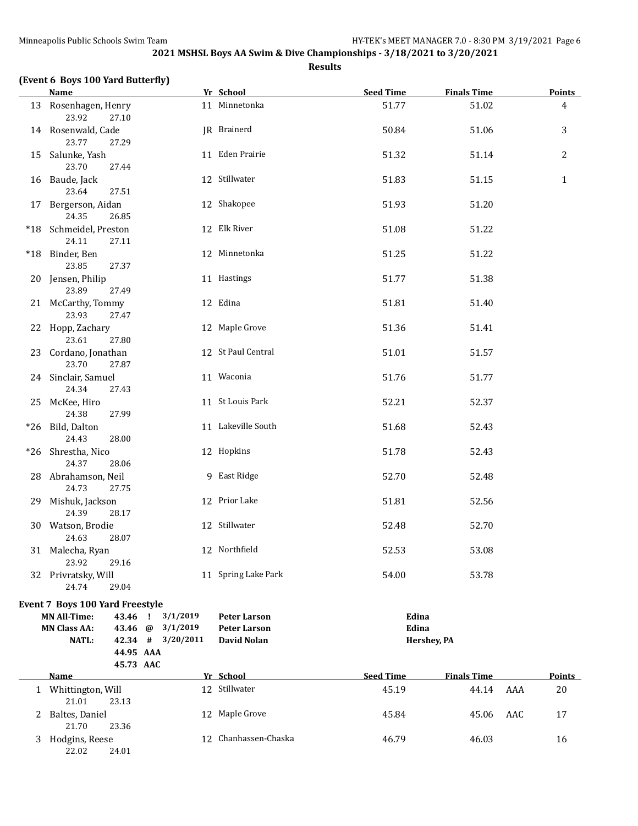| (Event 6 Boys 100 Yard Butterfly) |           |           |             |               |
|-----------------------------------|-----------|-----------|-------------|---------------|
| Name                              | Vr School | Seed Time | Finale Time | <b>Points</b> |

|     | <u>name</u>                              |                   | <u>if school</u>     | <u>seea lime</u> | <u>Finais Time</u> |     | <u> POINTS – </u> |
|-----|------------------------------------------|-------------------|----------------------|------------------|--------------------|-----|-------------------|
|     | 13 Rosenhagen, Henry<br>23.92<br>27.10   |                   | 11 Minnetonka        | 51.77            | 51.02              |     | 4                 |
|     | 14 Rosenwald, Cade<br>23.77<br>27.29     |                   | JR Brainerd          | 50.84            | 51.06              |     | 3                 |
|     | 15 Salunke, Yash<br>23.70<br>27.44       |                   | 11 Eden Prairie      | 51.32            | 51.14              |     | $\mathbf{2}$      |
|     | 16 Baude, Jack<br>23.64<br>27.51         |                   | 12 Stillwater        | 51.83            | 51.15              |     | $\mathbf{1}$      |
| 17  | Bergerson, Aidan<br>24.35<br>26.85       |                   | 12 Shakopee          | 51.93            | 51.20              |     |                   |
|     | *18 Schmeidel, Preston<br>24.11<br>27.11 |                   | 12 Elk River         | 51.08            | 51.22              |     |                   |
|     | *18 Binder, Ben<br>23.85<br>27.37        |                   | 12 Minnetonka        | 51.25            | 51.22              |     |                   |
|     | 20 Jensen, Philip<br>23.89<br>27.49      |                   | 11 Hastings          | 51.77            | 51.38              |     |                   |
|     | 21 McCarthy, Tommy<br>23.93<br>27.47     |                   | 12 Edina             | 51.81            | 51.40              |     |                   |
|     | 22 Hopp, Zachary<br>23.61<br>27.80       |                   | 12 Maple Grove       | 51.36            | 51.41              |     |                   |
|     | 23 Cordano, Jonathan<br>23.70<br>27.87   |                   | 12 St Paul Central   | 51.01            | 51.57              |     |                   |
|     | 24 Sinclair, Samuel<br>24.34<br>27.43    |                   | 11 Waconia           | 51.76            | 51.77              |     |                   |
|     | 25 McKee, Hiro<br>24.38<br>27.99         |                   | 11 St Louis Park     | 52.21            | 52.37              |     |                   |
|     | *26 Bild, Dalton<br>24.43<br>28.00       |                   | 11 Lakeville South   | 51.68            | 52.43              |     |                   |
| *26 | Shrestha, Nico<br>24.37<br>28.06         |                   | 12 Hopkins           | 51.78            | 52.43              |     |                   |
|     | 28 Abrahamson, Neil<br>24.73<br>27.75    |                   | 9 East Ridge         | 52.70            | 52.48              |     |                   |
| 29  | Mishuk, Jackson<br>24.39<br>28.17        |                   | 12 Prior Lake        | 51.81            | 52.56              |     |                   |
|     | 30 Watson, Brodie<br>24.63<br>28.07      |                   | 12 Stillwater        | 52.48            | 52.70              |     |                   |
|     | 31 Malecha, Ryan<br>29.16<br>23.92       |                   | 12 Northfield        | 52.53            | 53.08              |     |                   |
|     | 32 Privratsky, Will<br>24.74<br>29.04    |                   | 11 Spring Lake Park  | 54.00            | 53.78              |     |                   |
|     | Event 7 Boys 100 Yard Freestyle          |                   |                      |                  |                    |     |                   |
|     | <b>MN All-Time:</b><br>43.46             | 3/1/2019<br>- 1   | <b>Peter Larson</b>  | Edina            |                    |     |                   |
|     | <b>MN Class AA:</b><br>43.46 @           | 3/1/2019          | <b>Peter Larson</b>  | Edina            |                    |     |                   |
|     | <b>NATL:</b>                             | 42.34 # 3/20/2011 | David Nolan          |                  | Hershey, PA        |     |                   |
|     |                                          | 44.95 AAA         |                      |                  |                    |     |                   |
|     |                                          | 45.73 AAC         |                      |                  |                    |     |                   |
|     | <b>Name</b>                              |                   | Yr School            | <b>Seed Time</b> | <b>Finals Time</b> |     | <b>Points</b>     |
|     | 1 Whittington, Will<br>21.01<br>23.13    |                   | 12 Stillwater        | 45.19            | 44.14              | AAA | 20                |
| 2   | Baltes, Daniel<br>21.70<br>23.36         |                   | 12 Maple Grove       | 45.84            | 45.06              | AAC | 17                |
|     | 3 Hodgins, Reese<br>22.02<br>24.01       |                   | 12 Chanhassen-Chaska | 46.79            | 46.03              |     | 16                |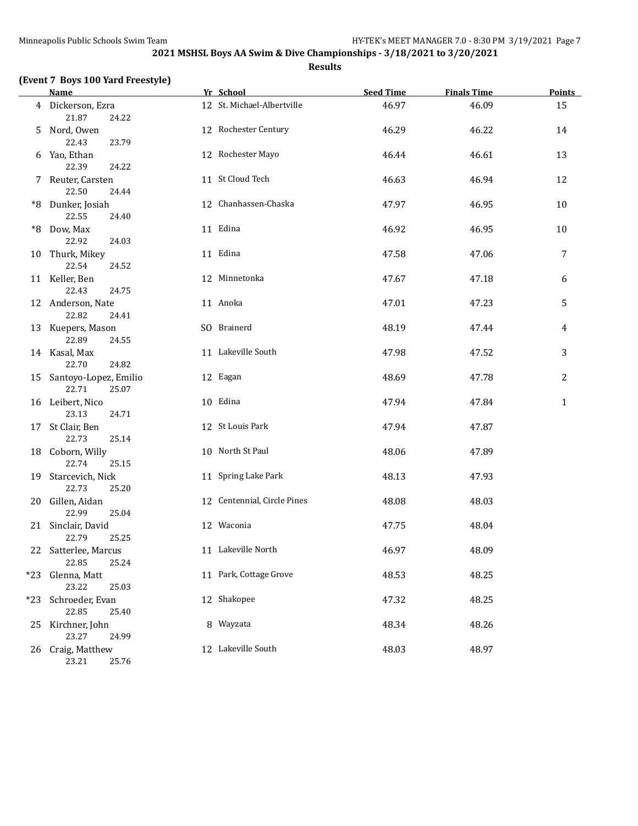|  | (Event 7 Boys 100 Yard Freestyle) |  |  |
|--|-----------------------------------|--|--|
|--|-----------------------------------|--|--|

|       | <b>Name</b>                            | Yr School                   | <b>Seed Time</b> | <b>Finals Time</b> | <b>Points</b> |
|-------|----------------------------------------|-----------------------------|------------------|--------------------|---------------|
|       | 4 Dickerson, Ezra                      | 12 St. Michael-Albertville  | 46.97            | 46.09              | 15            |
|       | 21.87<br>24.22                         |                             |                  |                    |               |
| 5.    | Nord, Owen                             | 12 Rochester Century        | 46.29            | 46.22              | 14            |
|       | 22.43<br>23.79                         |                             |                  |                    |               |
|       | 6 Yao, Ethan                           | 12 Rochester Mayo           | 46.44            | 46.61              | 13            |
|       | 22.39<br>24.22                         |                             |                  |                    |               |
|       | 7 Reuter, Carsten                      | 11 St Cloud Tech            | 46.63            | 46.94              | 12            |
|       | 22.50<br>24.44                         |                             |                  |                    |               |
|       | *8 Dunker, Josiah                      | 12 Chanhassen-Chaska        | 47.97            | 46.95              | 10            |
|       | 22.55<br>24.40                         |                             |                  |                    |               |
|       | *8 Dow, Max                            | 11 Edina                    | 46.92            | 46.95              | 10            |
|       | 22.92<br>24.03                         |                             |                  |                    |               |
|       | 10 Thurk, Mikey                        | 11 Edina                    | 47.58            | 47.06              | 7             |
|       | 22.54<br>24.52                         |                             |                  |                    |               |
|       | 11 Keller, Ben                         | 12 Minnetonka               | 47.67            | 47.18              | 6             |
|       | 22.43<br>24.75                         |                             |                  |                    |               |
|       | 12 Anderson, Nate                      | 11 Anoka                    | 47.01            | 47.23              | 5             |
|       | 22.82<br>24.41                         |                             |                  |                    |               |
|       | 13 Kuepers, Mason                      | SO Brainerd                 | 48.19            | 47.44              | 4             |
|       | 22.89<br>24.55                         |                             |                  |                    |               |
|       | 14 Kasal, Max                          | 11 Lakeville South          | 47.98            | 47.52              | 3             |
|       | 22.70<br>24.82                         |                             |                  |                    |               |
|       | 15 Santoyo-Lopez, Emilio               | 12 Eagan                    | 48.69            | 47.78              | 2             |
|       | 22.71<br>25.07                         |                             |                  |                    |               |
|       | 16 Leibert, Nico                       | 10 Edina                    | 47.94            | 47.84              | 1             |
|       | 23.13<br>24.71                         |                             |                  |                    |               |
|       | 17 St Clair, Ben                       | 12 St Louis Park            | 47.94            | 47.87              |               |
|       | 22.73<br>25.14                         |                             |                  |                    |               |
|       | 18 Coborn, Willy                       | 10 North St Paul            | 48.06            | 47.89              |               |
|       | 22.74<br>25.15                         |                             |                  |                    |               |
|       | 19 Starcevich, Nick                    | 11 Spring Lake Park         | 48.13            | 47.93              |               |
|       | 22.73<br>25.20                         |                             |                  |                    |               |
|       | 20 Gillen, Aidan                       | 12 Centennial, Circle Pines | 48.08            | 48.03              |               |
|       | 22.99<br>25.04                         | 12 Waconia                  |                  |                    |               |
|       | 21 Sinclair, David                     |                             | 47.75            | 48.04              |               |
|       | 22.79<br>25.25                         | 11 Lakeville North          |                  | 48.09              |               |
|       | 22 Satterlee, Marcus<br>22.85<br>25.24 |                             | 46.97            |                    |               |
| $*23$ | Glenna, Matt                           | 11 Park, Cottage Grove      | 48.53            | 48.25              |               |
|       | 23.22<br>25.03                         |                             |                  |                    |               |
|       |                                        | 12 Shakopee                 |                  |                    |               |
| $*23$ | Schroeder, Evan<br>22.85<br>25.40      |                             | 47.32            | 48.25              |               |
|       | Kirchner, John                         | 8 Wayzata                   | 48.34            | 48.26              |               |
| 25    | 23.27<br>24.99                         |                             |                  |                    |               |
| 26    | Craig, Matthew                         | 12 Lakeville South          | 48.03            | 48.97              |               |
|       | 23.21<br>25.76                         |                             |                  |                    |               |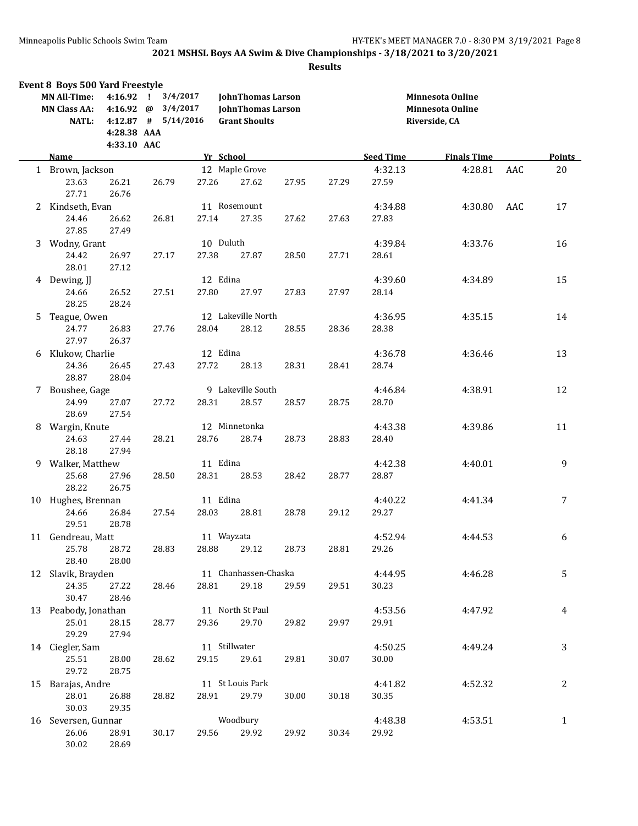|   | <b>Event 8 Boys 500 Yard Freestyle</b><br><b>MN All-Time:</b><br><b>MN Class AA:</b><br><b>NATL:</b> | 4:16.92<br>4:16.92<br>$4:12.87$ #<br>4:28.38 AAA<br>4:33.10 AAC | 3/4/2017<br>$\mathbf{I}$<br>3/4/2017<br>@<br>5/14/2016 |                   | <b>JohnThomas Larson</b><br><b>JohnThomas Larson</b><br><b>Grant Shoults</b> |       |       |                  | Minnesota Online<br><b>Minnesota Online</b><br>Riverside, CA |     |               |
|---|------------------------------------------------------------------------------------------------------|-----------------------------------------------------------------|--------------------------------------------------------|-------------------|------------------------------------------------------------------------------|-------|-------|------------------|--------------------------------------------------------------|-----|---------------|
|   | <b>Name</b>                                                                                          |                                                                 |                                                        |                   | Yr School                                                                    |       |       | <b>Seed Time</b> | <b>Finals Time</b>                                           |     | <b>Points</b> |
|   | 1 Brown, Jackson<br>23.63<br>27.71                                                                   | 26.21<br>26.76                                                  | 26.79                                                  | 27.26             | 12 Maple Grove<br>27.62                                                      | 27.95 | 27.29 | 4:32.13<br>27.59 | 4:28.81                                                      | AAC | $20\,$        |
| 2 | Kindseth, Evan<br>24.46<br>27.85                                                                     | 26.62<br>27.49                                                  | 26.81                                                  | 27.14             | 11 Rosemount<br>27.35                                                        | 27.62 | 27.63 | 4:34.88<br>27.83 | 4:30.80                                                      | AAC | 17            |
| 3 | Wodny, Grant<br>24.42<br>28.01                                                                       | 26.97<br>27.12                                                  | 27.17                                                  | 27.38             | 10 Duluth<br>27.87                                                           | 28.50 | 27.71 | 4:39.84<br>28.61 | 4:33.76                                                      |     | 16            |
|   | 4 Dewing, JJ<br>24.66<br>28.25                                                                       | 26.52<br>28.24                                                  | 27.51                                                  | 12 Edina<br>27.80 | 27.97                                                                        | 27.83 | 27.97 | 4:39.60<br>28.14 | 4:34.89                                                      |     | 15            |
| 5 | Teague, Owen<br>24.77<br>27.97                                                                       | 26.83<br>26.37                                                  | 27.76                                                  | 28.04             | 12 Lakeville North<br>28.12                                                  | 28.55 | 28.36 | 4:36.95<br>28.38 | 4:35.15                                                      |     | 14            |
| 6 | Klukow, Charlie<br>24.36<br>28.87                                                                    | 26.45<br>28.04                                                  | 27.43                                                  | 12 Edina<br>27.72 | 28.13                                                                        | 28.31 | 28.41 | 4:36.78<br>28.74 | 4:36.46                                                      |     | 13            |
|   | 7 Boushee, Gage<br>24.99<br>28.69                                                                    | 27.07<br>27.54                                                  | 27.72                                                  | 28.31             | 9 Lakeville South<br>28.57                                                   | 28.57 | 28.75 | 4:46.84<br>28.70 | 4:38.91                                                      |     | 12            |
| 8 | Wargin, Knute<br>24.63<br>28.18                                                                      | 27.44<br>27.94                                                  | 28.21                                                  | 28.76             | 12 Minnetonka<br>28.74                                                       | 28.73 | 28.83 | 4:43.38<br>28.40 | 4:39.86                                                      |     | 11            |
|   | 9 Walker, Matthew<br>25.68<br>28.22                                                                  | 27.96<br>26.75                                                  | 28.50                                                  | 11 Edina<br>28.31 | 28.53                                                                        | 28.42 | 28.77 | 4:42.38<br>28.87 | 4:40.01                                                      |     | 9             |
|   | 10 Hughes, Brennan<br>24.66<br>29.51                                                                 | 26.84<br>28.78                                                  | 27.54                                                  | 11 Edina<br>28.03 | 28.81                                                                        | 28.78 | 29.12 | 4:40.22<br>29.27 | 4:41.34                                                      |     | 7             |
|   | 11 Gendreau, Matt<br>25.78<br>28.40                                                                  | 28.72<br>28.00                                                  | 28.83                                                  |                   | 11 Wayzata<br>28.88 29.12                                                    | 28.73 | 28.81 | 4:52.94<br>29.26 | 4:44.53                                                      |     | 6             |
|   | 12 Slavik, Brayden<br>24.35<br>30.47                                                                 | 27.22<br>28.46                                                  | 28.46                                                  | 28.81             | 11 Chanhassen-Chaska<br>29.18                                                | 29.59 | 29.51 | 4:44.95<br>30.23 | 4:46.28                                                      |     | 5             |
|   | 13 Peabody, Jonathan<br>25.01<br>29.29                                                               | 28.15<br>27.94                                                  | 28.77                                                  | 29.36             | 11 North St Paul<br>29.70                                                    | 29.82 | 29.97 | 4:53.56<br>29.91 | 4:47.92                                                      |     | 4             |
|   | 14 Ciegler, Sam<br>25.51<br>29.72                                                                    | 28.00<br>28.75                                                  | 28.62                                                  | 29.15             | 11 Stillwater<br>29.61                                                       | 29.81 | 30.07 | 4:50.25<br>30.00 | 4:49.24                                                      |     | 3             |
|   | 15 Barajas, Andre<br>28.01<br>30.03                                                                  | 26.88<br>29.35                                                  | 28.82                                                  | 28.91             | 11 St Louis Park<br>29.79                                                    | 30.00 | 30.18 | 4:41.82<br>30.35 | 4:52.32                                                      |     | 2             |
|   | 16 Seversen, Gunnar<br>26.06<br>30.02                                                                | 28.91<br>28.69                                                  | 30.17                                                  | 29.56             | Woodbury<br>29.92                                                            | 29.92 | 30.34 | 4:48.38<br>29.92 | 4:53.51                                                      |     | $\mathbf{1}$  |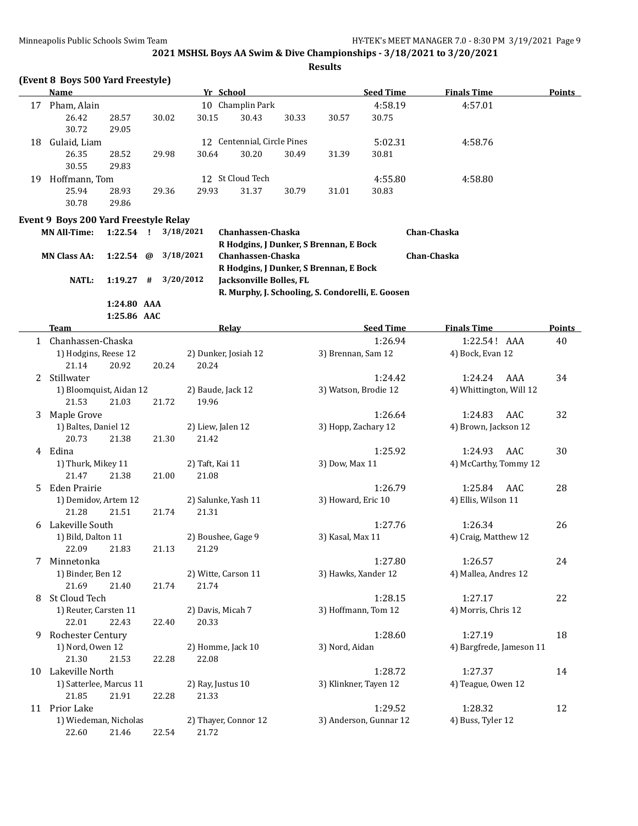**Results**

|                     | Name        |       |                             | Yr School |                  |       |       | <b>Seed Time</b> | <b>Finals Time</b> | <b>Points</b> |
|---------------------|-------------|-------|-----------------------------|-----------|------------------|-------|-------|------------------|--------------------|---------------|
| 17                  | Pham, Alain |       |                             |           | 10 Champlin Park |       |       | 4:58.19          | 4:57.01            |               |
|                     | 26.42       | 28.57 | 30.02                       | 30.15     | 30.43            | 30.33 | 30.57 | 30.75            |                    |               |
|                     | 30.72       | 29.05 |                             |           |                  |       |       |                  |                    |               |
| Gulaid, Liam<br>18  |             |       | 12 Centennial, Circle Pines |           |                  |       |       | 5:02.31          | 4:58.76            |               |
|                     | 26.35       | 28.52 | 29.98                       | 30.64     | 30.20            | 30.49 | 31.39 | 30.81            |                    |               |
|                     | 30.55       | 29.83 |                             |           |                  |       |       |                  |                    |               |
| Hoffmann, Tom<br>19 |             |       |                             |           | 12 St Cloud Tech |       |       | 4:55.80          | 4:58.80            |               |
|                     | 25.94       | 28.93 | 29.36                       | 29.93     | 31.37            | 30.79 | 31.01 | 30.83            |                    |               |
|                     | 30.78       | 29.86 |                             |           |                  |       |       |                  |                    |               |

#### **Event 9 Boys 200 Yard Freestyle Relay**

| <b>MN All-Time:</b> | $1:22.54$ !             | 3/18/2021 | Chanhassen-Chaska                                 | Chan-Chaska |
|---------------------|-------------------------|-----------|---------------------------------------------------|-------------|
|                     |                         |           | R Hodgins, J Dunker, S Brennan, E Bock            |             |
| <b>MN Class AA:</b> | 1:22.54 @ $3/18/2021$   |           | Chanhassen-Chaska                                 | Chan-Chaska |
|                     |                         |           | R Hodgins, J Dunker, S Brennan, E Bock            |             |
| NATL:               | $1:19.27$ # $3/20/2012$ |           | <b>Iacksonville Bolles. FL</b>                    |             |
|                     |                         |           | R. Murphy, J. Schooling, S. Condorelli, E. Goosen |             |
|                     | 1:24.80 AAA             |           |                                                   |             |

**1:25.86 AAC**

|    | <b>Team</b>             |       | Relay                | <b>Seed Time</b>       | <b>Finals Time</b>       | <b>Points</b> |
|----|-------------------------|-------|----------------------|------------------------|--------------------------|---------------|
|    | 1 Chanhassen-Chaska     |       |                      | 1:26.94                | 1:22.54! AAA             | 40            |
|    | 1) Hodgins, Reese 12    |       | 2) Dunker, Josiah 12 | 3) Brennan, Sam 12     | 4) Bock, Evan 12         |               |
|    | 21.14<br>20.92          | 20.24 | 20.24                |                        |                          |               |
| 2  | Stillwater              |       |                      | 1:24.42                | 1:24.24<br>AAA           | 34            |
|    | 1) Bloomquist, Aidan 12 |       | 2) Baude, Jack 12    | 3) Watson, Brodie 12   | 4) Whittington, Will 12  |               |
|    | 21.03<br>21.53          | 21.72 | 19.96                |                        |                          |               |
| 3  | Maple Grove             |       |                      | 1:26.64                | 1:24.83<br>AAC           | 32            |
|    | 1) Baltes, Daniel 12    |       | 2) Liew, Jalen 12    | 3) Hopp, Zachary 12    | 4) Brown, Jackson 12     |               |
|    | 20.73<br>21.38          | 21.30 | 21.42                |                        |                          |               |
|    | 4 Edina                 |       |                      | 1:25.92                | 1:24.93<br>AAC           | 30            |
|    | 1) Thurk, Mikey 11      |       | 2) Taft, Kai 11      | 3) Dow, Max 11         | 4) McCarthy, Tommy 12    |               |
|    | 21.47<br>21.38          | 21.00 | 21.08                |                        |                          |               |
| 5. | Eden Prairie            |       |                      | 1:26.79                | 1:25.84<br>AAC           | 28            |
|    | 1) Demidov, Artem 12    |       | 2) Salunke, Yash 11  | 3) Howard, Eric 10     | 4) Ellis, Wilson 11      |               |
|    | 21.28<br>21.51          | 21.74 | 21.31                |                        |                          |               |
| 6  | Lakeville South         |       |                      | 1:27.76                | 1:26.34                  | 26            |
|    | 1) Bild, Dalton 11      |       | 2) Boushee, Gage 9   | 3) Kasal, Max 11       | 4) Craig, Matthew 12     |               |
|    | 22.09<br>21.83          | 21.13 | 21.29                |                        |                          |               |
| 7  | Minnetonka              |       |                      | 1:27.80                | 1:26.57                  | 24            |
|    | 1) Binder, Ben 12       |       | 2) Witte, Carson 11  | 3) Hawks, Xander 12    | 4) Mallea, Andres 12     |               |
|    | 21.69<br>21.40          | 21.74 | 21.74                |                        |                          |               |
| 8  | St Cloud Tech           |       |                      | 1:28.15                | 1:27.17                  | 22            |
|    | 1) Reuter, Carsten 11   |       | 2) Davis, Micah 7    | 3) Hoffmann, Tom 12    | 4) Morris, Chris 12      |               |
|    | 22.43<br>22.01          | 22.40 | 20.33                |                        |                          |               |
| 9  | Rochester Century       |       |                      | 1:28.60                | 1:27.19                  | 18            |
|    | 1) Nord, Owen 12        |       | 2) Homme, Jack 10    | 3) Nord, Aidan         | 4) Bargfrede, Jameson 11 |               |
|    | 21.30<br>21.53          | 22.28 | 22.08                |                        |                          |               |
| 10 | Lakeville North         |       |                      | 1:28.72                | 1:27.37                  | 14            |
|    | 1) Satterlee, Marcus 11 |       | 2) Ray, Justus 10    | 3) Klinkner, Tayen 12  | 4) Teague, Owen 12       |               |
|    | 21.85<br>21.91          | 22.28 | 21.33                |                        |                          |               |
|    | 11 Prior Lake           |       |                      | 1:29.52                | 1:28.32                  | 12            |
|    | 1) Wiedeman, Nicholas   |       | 2) Thayer, Connor 12 | 3) Anderson, Gunnar 12 | 4) Buss, Tyler 12        |               |
|    | 22.60<br>21.46          | 22.54 | 21.72                |                        |                          |               |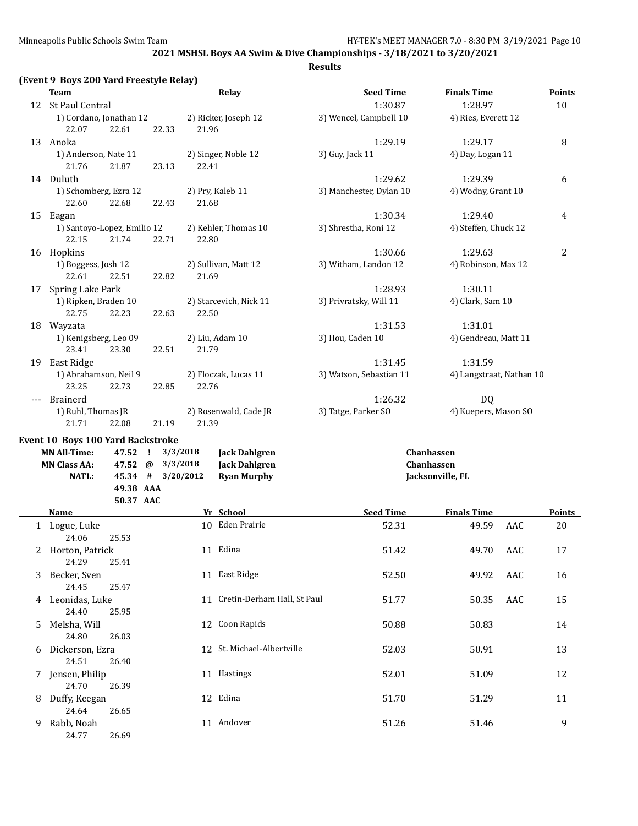| (Event 9 Boys 200 Yard Freestyle Relay) |
|-----------------------------------------|
|                                         |

|    | <b>Team</b>                              |                   | <b>Relay</b>           | <b>Seed Time</b>        | <b>Finals Time</b>       | <b>Points</b>  |
|----|------------------------------------------|-------------------|------------------------|-------------------------|--------------------------|----------------|
|    | 12 St Paul Central                       |                   |                        | 1:30.87                 | 1:28.97                  | 10             |
|    | 1) Cordano, Jonathan 12                  |                   | 2) Ricker, Joseph 12   | 3) Wencel, Campbell 10  | 4) Ries, Everett 12      |                |
|    | 22.61<br>22.07                           | 22.33             | 21.96                  |                         |                          |                |
|    | 13 Anoka                                 |                   |                        | 1:29.19                 | 1:29.17                  | 8              |
|    | 1) Anderson, Nate 11                     |                   | 2) Singer, Noble 12    | 3) Guy, Jack 11         | 4) Day, Logan 11         |                |
|    | 21.76<br>21.87                           | 23.13             | 22.41                  |                         |                          |                |
|    | 14 Duluth                                |                   |                        | 1:29.62                 | 1:29.39                  | 6              |
|    | 1) Schomberg, Ezra 12                    |                   | 2) Pry, Kaleb 11       | 3) Manchester, Dylan 10 | 4) Wodny, Grant 10       |                |
|    | 22.60<br>22.68                           | 22.43             | 21.68                  |                         |                          |                |
|    | 15 Eagan                                 |                   |                        | 1:30.34                 | 1:29.40                  | 4              |
|    | 1) Santoyo-Lopez, Emilio 12              |                   | 2) Kehler, Thomas 10   | 3) Shrestha, Roni 12    | 4) Steffen, Chuck 12     |                |
|    | 21.74<br>22.15                           | 22.71             | 22.80                  |                         |                          |                |
|    | 16 Hopkins                               |                   |                        | 1:30.66                 | 1:29.63                  | $\overline{2}$ |
|    | 1) Boggess, Josh 12                      |                   | 2) Sullivan, Matt 12   | 3) Witham, Landon 12    | 4) Robinson, Max 12      |                |
|    | 22.61<br>22.51                           | 22.82             | 21.69                  |                         |                          |                |
| 17 | Spring Lake Park                         |                   |                        | 1:28.93                 | 1:30.11                  |                |
|    | 1) Ripken, Braden 10                     |                   | 2) Starcevich, Nick 11 | 3) Privratsky, Will 11  | 4) Clark, Sam 10         |                |
|    | 22.75<br>22.23                           | 22.63             | 22.50                  |                         |                          |                |
|    | 18 Wayzata                               |                   |                        | 1:31.53                 | 1:31.01                  |                |
|    | 1) Kenigsberg, Leo 09                    |                   | 2) Liu, Adam 10        | 3) Hou, Caden 10        | 4) Gendreau, Matt 11     |                |
|    | 23.41<br>23.30                           | 22.51             | 21.79                  |                         |                          |                |
| 19 | East Ridge                               |                   |                        | 1:31.45                 | 1:31.59                  |                |
|    | 1) Abrahamson, Neil 9                    |                   | 2) Floczak, Lucas 11   | 3) Watson, Sebastian 11 | 4) Langstraat, Nathan 10 |                |
|    | 23.25<br>22.73                           | 22.85             | 22.76                  |                         |                          |                |
|    | <b>Brainerd</b>                          |                   |                        | 1:26.32                 | DQ                       |                |
|    | 1) Ruhl, Thomas JR                       |                   | 2) Rosenwald, Cade JR  | 3) Tatge, Parker SO     | 4) Kuepers, Mason SO     |                |
|    | 21.71<br>22.08                           | 21.19             | 21.39                  |                         |                          |                |
|    | <b>Event 10 Boys 100 Yard Backstroke</b> |                   |                        |                         |                          |                |
|    | <b>MN All-Time:</b><br>47.52 !           | 3/3/2018          | <b>Jack Dahlgren</b>   |                         | Chanhassen               |                |
|    | <b>MN Class AA:</b><br>47.52 @           | 3/3/2018          | <b>Jack Dahlgren</b>   |                         | <b>Chanhassen</b>        |                |
|    | <b>NATL:</b>                             | 45.34 # 3/20/2012 | <b>Ryan Murphy</b>     |                         | Jacksonville, FL         |                |
|    | 49.38 AAA                                |                   |                        |                         |                          |                |
|    | 50.37 AAC                                |                   |                        |                         |                          |                |
|    | <b>Name</b>                              |                   | Yr School              | <b>Seed Time</b>        | <b>Finals Time</b>       | <b>Points</b>  |

|    | Name            | Yr School                      | <b>Seed Time</b> | <b>Finals Time</b> |     | Points |
|----|-----------------|--------------------------------|------------------|--------------------|-----|--------|
|    | Logue, Luke     | 10 Eden Prairie                | 52.31            | 49.59              | AAC | 20     |
|    | 24.06<br>25.53  |                                |                  |                    |     |        |
| 2  | Horton, Patrick | 11 Edina                       | 51.42            | 49.70              | AAC | 17     |
|    | 24.29<br>25.41  |                                |                  |                    |     |        |
| 3  | Becker, Sven    | 11 East Ridge                  | 52.50            | 49.92              | AAC | 16     |
|    | 24.45<br>25.47  |                                |                  |                    |     |        |
| 4  | Leonidas, Luke  | 11 Cretin-Derham Hall, St Paul | 51.77            | 50.35              | AAC | 15     |
|    | 25.95<br>24.40  |                                |                  |                    |     |        |
| 5. | Melsha, Will    | 12 Coon Rapids                 | 50.88            | 50.83              |     | 14     |
|    | 24.80<br>26.03  |                                |                  |                    |     |        |
| 6  | Dickerson, Ezra | 12 St. Michael-Albertville     | 52.03            | 50.91              |     | 13     |
|    | 24.51<br>26.40  |                                |                  |                    |     |        |
| 7  | Jensen, Philip  | 11 Hastings                    | 52.01            | 51.09              |     | 12     |
|    | 24.70<br>26.39  |                                |                  |                    |     |        |
| 8  | Duffy, Keegan   | 12 Edina                       | 51.70            | 51.29              |     | 11     |
|    | 24.64<br>26.65  |                                |                  |                    |     |        |
| 9. | Rabb, Noah      | 11 Andover                     | 51.26            | 51.46              |     | 9      |
|    | 24.77<br>26.69  |                                |                  |                    |     |        |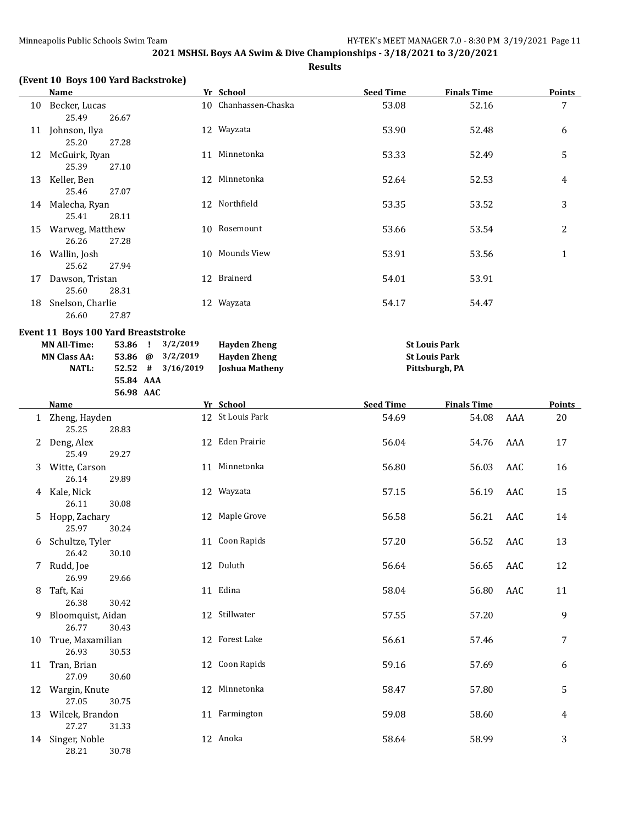**MN Class AA: 53.86 @ 3/2/2019 Hayden Zheng St Louis Park NATL: 52.52 # 3/16/2019 Joshua Matheny Pittsburgh, PA**

**2021 MSHSL Boys AA Swim & Dive Championships - 3/18/2021 to 3/20/2021**

|    | (Event 10 Boys 100 Yard Backstroke)        |                       |          |                      |                  |                      |               |
|----|--------------------------------------------|-----------------------|----------|----------------------|------------------|----------------------|---------------|
|    | <b>Name</b>                                |                       |          | Yr School            | <b>Seed Time</b> | <b>Finals Time</b>   | <b>Points</b> |
| 10 | Becker, Lucas                              |                       |          | 10 Chanhassen-Chaska | 53.08            | 52.16                | 7             |
|    | 25.49                                      | 26.67                 |          |                      |                  |                      |               |
| 11 | Johnson, Ilya                              |                       |          | 12 Wayzata           | 53.90            | 52.48                | 6             |
|    | 25.20                                      | 27.28                 |          |                      |                  |                      |               |
| 12 | McGuirk, Ryan                              |                       | 11       | Minnetonka           | 53.33            | 52.49                | 5             |
|    | 25.39                                      | 27.10                 |          |                      |                  |                      |               |
| 13 | Keller, Ben                                |                       |          | 12 Minnetonka        | 52.64            | 52.53                | 4             |
|    | 25.46                                      | 27.07                 |          |                      |                  |                      |               |
| 14 | Malecha, Ryan                              |                       |          | 12 Northfield        | 53.35            | 53.52                | 3             |
|    | 25.41                                      | 28.11                 |          |                      |                  |                      |               |
| 15 | Warweg, Matthew                            |                       | 10       | Rosemount            | 53.66            | 53.54                | 2             |
|    | 26.26                                      | 27.28                 |          |                      |                  |                      |               |
| 16 | Wallin, Josh                               |                       |          | 10 Mounds View       | 53.91            | 53.56                | $\mathbf{1}$  |
|    | 25.62                                      | 27.94                 |          |                      |                  |                      |               |
| 17 | Dawson, Tristan                            |                       |          | 12 Brainerd          | 54.01            | 53.91                |               |
|    | 25.60                                      | 28.31                 |          |                      |                  |                      |               |
| 18 | Snelson, Charlie                           |                       |          | 12 Wayzata           | 54.17            | 54.47                |               |
|    | 26.60                                      | 27.87                 |          |                      |                  |                      |               |
|    | <b>Event 11 Boys 100 Yard Breaststroke</b> |                       |          |                      |                  |                      |               |
|    | <b>MN All-Time:</b>                        | 53.86<br>$\mathbf{I}$ | 3/2/2019 | <b>Hayden Zheng</b>  |                  | <b>St Louis Park</b> |               |

| MN All-Time:        |           | 53.86 $\frac{3}{2}$ 5/4/4019 | -Havden Zheng  |  |
|---------------------|-----------|------------------------------|----------------|--|
| <b>MN Class AA:</b> |           | 53.86 $\omega$ 3/2/2019      | Havden Zheng   |  |
| <b>NATL:</b>        |           | $52.52$ # $3/16/2019$        | Joshua Matheny |  |
|                     | 55.84 AAA |                              |                |  |

|    | 56.98 AAC                           |                  |                  |                    |        |
|----|-------------------------------------|------------------|------------------|--------------------|--------|
|    | Name                                | Yr School        | <b>Seed Time</b> | <b>Finals Time</b> | Points |
|    | 1 Zheng, Hayden<br>25.25<br>28.83   | 12 St Louis Park | 54.69            | 54.08<br>AAA       | 20     |
|    | 2 Deng, Alex<br>25.49<br>29.27      | 12 Eden Prairie  | 56.04            | 54.76<br>AAA       | 17     |
|    | 3 Witte, Carson<br>26.14<br>29.89   | 11 Minnetonka    | 56.80            | 56.03<br>AAC       | 16     |
| 4  | Kale, Nick<br>26.11<br>30.08        | 12 Wayzata       | 57.15            | 56.19<br>AAC       | 15     |
| 5. | Hopp, Zachary<br>25.97<br>30.24     | 12 Maple Grove   | 56.58            | 56.21<br>AAC       | 14     |
| 6  | Schultze, Tyler<br>26.42<br>30.10   | 11 Coon Rapids   | 57.20            | 56.52<br>AAC       | 13     |
| 7  | Rudd, Joe<br>26.99<br>29.66         | 12 Duluth        | 56.64            | 56.65<br>AAC       | 12     |
| 8  | Taft, Kai<br>26.38<br>30.42         | 11 Edina         | 58.04            | 56.80<br>AAC       | 11     |
| 9  | Bloomquist, Aidan<br>26.77<br>30.43 | 12 Stillwater    | 57.55            | 57.20              | 9      |
| 10 | True, Maxamilian<br>26.93<br>30.53  | 12 Forest Lake   | 56.61            | 57.46              | 7      |
| 11 | Tran, Brian<br>27.09<br>30.60       | 12 Coon Rapids   | 59.16            | 57.69              | 6      |
| 12 | Wargin, Knute<br>27.05<br>30.75     | 12 Minnetonka    | 58.47            | 57.80              | 5      |
| 13 | Wilcek, Brandon<br>27.27<br>31.33   | 11 Farmington    | 59.08            | 58.60              | 4      |
| 14 | Singer, Noble<br>28.21<br>30.78     | 12 Anoka         | 58.64            | 58.99              | 3      |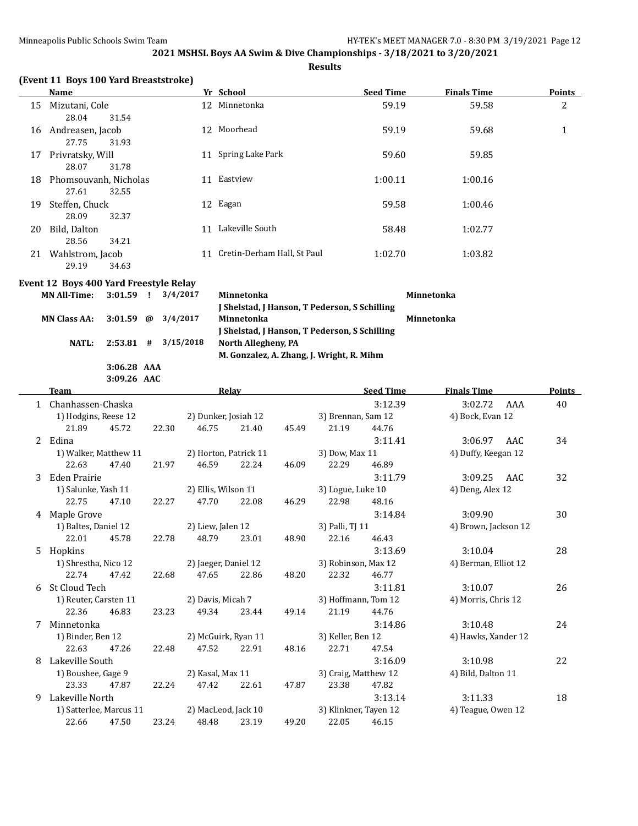**Results**

|  |  | (Event 11 Boys 100 Yard Breaststroke) |  |
|--|--|---------------------------------------|--|
|--|--|---------------------------------------|--|

|    | Name                                    | Yr School                         | <b>Seed Time</b> | <b>Finals Time</b> | <b>Points</b> |
|----|-----------------------------------------|-----------------------------------|------------------|--------------------|---------------|
| 15 | Mizutani, Cole<br>28.04<br>31.54        | 12 Minnetonka                     | 59.19            | 59.58              | 2             |
| 16 | Andreasen, Jacob<br>27.75<br>31.93      | Moorhead<br>12                    | 59.19            | 59.68              | 1             |
| 17 | Privratsky, Will<br>28.07<br>31.78      | Spring Lake Park<br>11            | 59.60            | 59.85              |               |
| 18 | Phomsouvanh, Nicholas<br>27.61<br>32.55 | Eastview<br>11                    | 1:00.11          | 1:00.16            |               |
| 19 | Steffen, Chuck<br>28.09<br>32.37        | 12 Eagan                          | 59.58            | 1:00.46            |               |
| 20 | Bild, Dalton<br>28.56<br>34.21          | Lakeville South<br>11             | 58.48            | 1:02.77            |               |
| 21 | Wahlstrom, Jacob<br>29.19<br>34.63      | Cretin-Derham Hall, St Paul<br>11 | 1:02.70          | 1:03.82            |               |

## **Event 12 Boys 400 Yard Freestyle Relay**

| MN All-Time: 3:01.59 ! 3/4/2017     |             |                         | Minnetonka                                           | Minnetonka |
|-------------------------------------|-------------|-------------------------|------------------------------------------------------|------------|
|                                     |             |                         | I Shelstad, J Hanson, T Pederson, S Schilling        |            |
| MN Class AA: $3:01.59$ @ $3/4/2017$ |             |                         | Minnetonka                                           | Minnetonka |
|                                     |             |                         | <b>J</b> Shelstad, J Hanson, T Pederson, S Schilling |            |
| NATL:                               |             | $2:53.81$ # $3/15/2018$ | North Allegheny, PA                                  |            |
|                                     |             |                         | M. Gonzalez, A. Zhang, J. Wright, R. Mihm            |            |
|                                     | 3:06.28 AAA |                         |                                                      |            |

**3:09.26 AAC**

|    | <b>Team</b>                            |       |       |                       | <b>Relay</b> |                     |                       | <b>Seed Time</b>     | <b>Finals Time</b>  |     | <b>Points</b> |
|----|----------------------------------------|-------|-------|-----------------------|--------------|---------------------|-----------------------|----------------------|---------------------|-----|---------------|
|    | 1 Chanhassen-Chaska                    |       |       |                       |              |                     |                       | 3:12.39              | 3:02.72             | AAA | 40            |
|    | 1) Hodgins, Reese 12                   |       |       | 2) Dunker, Josiah 12  |              |                     | 3) Brennan, Sam 12    |                      | 4) Bock, Evan 12    |     |               |
|    | 21.89                                  | 45.72 | 22.30 | 46.75                 | 21.40        | 45.49               | 21.19                 | 44.76                |                     |     |               |
| 2  | Edina                                  |       |       |                       |              |                     |                       | 3:11.41              | 3:06.97             | AAC | 34            |
|    | 1) Walker, Matthew 11                  |       |       | 2) Horton, Patrick 11 |              |                     | 3) Dow, Max 11        |                      | 4) Duffy, Keegan 12 |     |               |
|    | 22.63                                  | 47.40 | 21.97 | 46.59                 | 22.24        | 46.09               | 22.29                 | 46.89                |                     |     |               |
| 3  | <b>Eden Prairie</b>                    |       |       |                       |              |                     |                       | 3:11.79              | 3:09.25             | AAC | 32            |
|    | 1) Salunke, Yash 11                    |       |       | 2) Ellis, Wilson 11   |              | 3) Logue, Luke 10   |                       | 4) Deng, Alex 12     |                     |     |               |
|    | 22.75                                  | 47.10 | 22.27 | 47.70                 | 22.08        | 46.29               | 22.98                 | 48.16                |                     |     |               |
| 4  | Maple Grove                            |       |       |                       |              |                     |                       | 3:14.84              | 3:09.90             |     | 30            |
|    | 1) Baltes, Daniel 12                   |       |       | 2) Liew, Jalen 12     |              | 3) Palli, TJ 11     |                       | 4) Brown, Jackson 12 |                     |     |               |
|    | 22.01                                  | 45.78 | 22.78 | 48.79                 | 23.01        | 48.90               | 22.16                 | 46.43                |                     |     |               |
| 5. | Hopkins                                |       |       |                       |              |                     |                       | 3:13.69              | 3:10.04             |     | 28            |
|    | 1) Shrestha, Nico 12                   |       |       | 2) Jaeger, Daniel 12  |              | 3) Robinson, Max 12 |                       | 4) Berman, Elliot 12 |                     |     |               |
|    | 22.74                                  | 47.42 | 22.68 | 47.65                 | 22.86        | 48.20               | 22.32                 | 46.77                |                     |     |               |
| 6  | St Cloud Tech                          |       |       |                       |              |                     |                       | 3:11.81              | 3:10.07             |     | 26            |
|    | 1) Reuter, Carsten 11                  |       |       | 2) Davis, Micah 7     |              |                     | 3) Hoffmann, Tom 12   |                      | 4) Morris, Chris 12 |     |               |
|    | 22.36                                  | 46.83 | 23.23 | 49.34                 | 23.44        | 49.14               | 21.19                 | 44.76                |                     |     |               |
| 7  | Minnetonka                             |       |       |                       |              |                     |                       | 3:14.86              | 3:10.48             |     | 24            |
|    | 1) Binder, Ben 12                      |       |       | 2) McGuirk, Ryan 11   |              |                     | 3) Keller, Ben 12     |                      | 4) Hawks, Xander 12 |     |               |
|    | 22.63                                  | 47.26 | 22.48 | 47.52                 | 22.91        | 48.16               | 22.71                 | 47.54                |                     |     |               |
| 8  | Lakeville South                        |       |       |                       |              |                     |                       | 3:16.09              | 3:10.98             |     | 22            |
|    | 1) Boushee, Gage 9<br>2) Kasal, Max 11 |       |       | 3) Craig, Matthew 12  |              | 4) Bild, Dalton 11  |                       |                      |                     |     |               |
|    | 23.33                                  | 47.87 | 22.24 | 47.42                 | 22.61        | 47.87               | 23.38                 | 47.82                |                     |     |               |
| 9  | Lakeville North                        |       |       |                       |              |                     |                       | 3:13.14              | 3:11.33             |     | 18            |
|    | 1) Satterlee, Marcus 11                |       |       | 2) MacLeod, Jack 10   |              |                     | 3) Klinkner, Tayen 12 |                      | 4) Teague, Owen 12  |     |               |
|    | 22.66                                  | 47.50 | 23.24 | 48.48                 | 23.19        | 49.20               | 22.05                 | 46.15                |                     |     |               |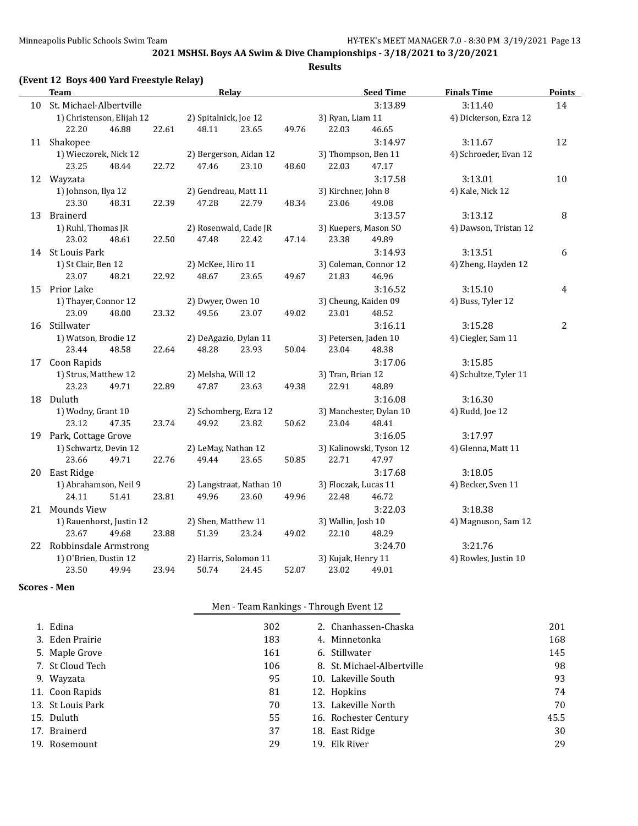**Results**

| Team                                    |       |                       | <b>Relay</b>                   |       |                             | <b>Seed Time</b>        | <b>Finals Time</b>    | <b>Points</b> |
|-----------------------------------------|-------|-----------------------|--------------------------------|-------|-----------------------------|-------------------------|-----------------------|---------------|
| 10 St. Michael-Albertville              |       |                       |                                |       |                             | 3:13.89                 | 3:11.40               | 14            |
| 1) Christenson, Elijah 12               |       | 2) Spitalnick, Joe 12 |                                |       | 3) Ryan, Liam 11            |                         | 4) Dickerson, Ezra 12 |               |
| 22.20<br>46.88                          | 22.61 | 48.11                 | 23.65                          | 49.76 | 22.03                       | 46.65                   |                       |               |
| 11 Shakopee                             |       |                       |                                |       |                             | 3:14.97                 | 3:11.67               | 12            |
| 1) Wieczorek, Nick 12                   |       |                       | 2) Bergerson, Aidan 12         |       | 3) Thompson, Ben 11         |                         | 4) Schroeder, Evan 12 |               |
| 23.25<br>48.44                          | 22.72 | 47.46                 | 23.10                          | 48.60 | 22.03                       | 47.17                   |                       |               |
| 12 Wayzata                              |       |                       |                                |       |                             | 3:17.58                 | 3:13.01               | 10            |
| 1) Johnson, Ilya 12                     |       | 2) Gendreau, Matt 11  |                                |       | 3) Kirchner, John 8         |                         | 4) Kale, Nick 12      |               |
| 23.30<br>48.31                          | 22.39 | 47.28                 | 22.79                          | 48.34 | 23.06                       | 49.08                   |                       |               |
| 13 Brainerd                             |       |                       |                                |       |                             | 3:13.57                 | 3:13.12               | 8             |
| 1) Ruhl, Thomas JR                      |       |                       | 2) Rosenwald, Cade JR          |       |                             | 3) Kuepers, Mason SO    | 4) Dawson, Tristan 12 |               |
| 23.02<br>48.61                          | 22.50 | 47.48                 | 22.42                          | 47.14 | 23.38                       | 49.89                   |                       |               |
| 14 St Louis Park                        |       |                       |                                |       |                             | 3:14.93                 | 3:13.51               | 6             |
| 1) St Clair, Ben 12                     |       | 2) McKee, Hiro 11     |                                |       |                             | 3) Coleman, Connor 12   | 4) Zheng, Hayden 12   |               |
| 23.07<br>48.21                          | 22.92 | 48.67                 | 23.65                          | 49.67 | 21.83                       | 46.96                   |                       |               |
| 15 Prior Lake                           |       |                       |                                |       |                             | 3:16.52                 | 3:15.10               | 4             |
| 1) Thayer, Connor 12                    |       | 2) Dwyer, Owen 10     |                                |       | 3) Cheung, Kaiden 09        |                         | 4) Buss, Tyler 12     |               |
| 23.09<br>48.00                          | 23.32 | 49.56                 | 23.07                          | 49.02 | 23.01                       | 48.52                   |                       |               |
| 16 Stillwater                           |       |                       |                                |       |                             | 3:16.11                 | 3:15.28               | 2             |
| 1) Watson, Brodie 12                    |       |                       | 2) DeAgazio, Dylan 11          |       | 3) Petersen, Jaden 10       |                         | 4) Ciegler, Sam 11    |               |
| 23.44<br>48.58                          | 22.64 | 48.28                 | 23.93                          | 50.04 | 23.04                       | 48.38                   |                       |               |
| 17 Coon Rapids                          |       |                       |                                |       |                             | 3:17.06                 | 3:15.85               |               |
| 1) Strus, Matthew 12                    |       | 2) Melsha, Will 12    |                                |       | 3) Tran, Brian 12           |                         | 4) Schultze, Tyler 11 |               |
| 23.23<br>49.71                          | 22.89 | 47.87                 | 23.63                          | 49.38 | 22.91                       | 48.89                   |                       |               |
| 18 Duluth                               |       |                       |                                |       |                             | 3:16.08                 | 3:16.30               |               |
| 1) Wodny, Grant 10                      |       |                       | 2) Schomberg, Ezra 12          |       |                             | 3) Manchester, Dylan 10 | 4) Rudd, Joe 12       |               |
| 23.12<br>47.35                          | 23.74 | 49.92                 | 23.82                          | 50.62 | 23.04                       | 48.41                   |                       |               |
| 19 Park, Cottage Grove                  |       |                       |                                |       |                             | 3:16.05                 | 3:17.97               |               |
| 1) Schwartz, Devin 12                   |       | 2) LeMay, Nathan 12   |                                |       |                             | 3) Kalinowski, Tyson 12 | 4) Glenna, Matt 11    |               |
| 23.66<br>49.71                          | 22.76 | 49.44                 | 23.65                          | 50.85 | 22.71                       | 47.97                   |                       |               |
| 20 East Ridge                           |       |                       |                                |       |                             | 3:17.68                 | 3:18.05               |               |
| 1) Abrahamson, Neil 9                   |       |                       | 2) Langstraat, Nathan 10       |       | 3) Floczak, Lucas 11        |                         | 4) Becker, Sven 11    |               |
| 24.11<br>51.41                          | 23.81 | 49.96                 | 23.60                          | 49.96 | 22.48                       | 46.72                   |                       |               |
| 21 Mounds View                          |       |                       |                                |       |                             | 3:22.03                 | 3:18.38               |               |
| 1) Rauenhorst, Justin 12                |       | 2) Shen, Matthew 11   |                                |       | 3) Wallin, Josh 10          |                         | 4) Magnuson, Sam 12   |               |
| 23.67<br>49.68                          | 23.88 | 51.39                 | 23.24                          | 49.02 | 22.10                       | 48.29                   |                       |               |
| 22 Robbinsdale Armstrong                |       |                       |                                |       |                             | 3:24.70                 | 3:21.76               |               |
| 1) O'Brien, Dustin 12<br>23.50<br>49.94 | 23.94 | 50.74                 | 2) Harris, Solomon 11<br>24.45 | 52.07 | 3) Kujak, Henry 11<br>23.02 | 49.01                   | 4) Rowles, Justin 10  |               |
|                                         |       |                       |                                |       |                             |                         |                       |               |

## **Scores - Men**

|--|

| 1. Edina          | 302 | 2. Chanhassen-Chaska       | 201  |
|-------------------|-----|----------------------------|------|
| 3. Eden Prairie   | 183 | 4. Minnetonka              | 168  |
| 5. Maple Grove    | 161 | 6. Stillwater              | 145  |
| 7. St Cloud Tech  | 106 | 8. St. Michael-Albertville | 98   |
| 9. Wayzata        | 95  | 10. Lakeville South        | 93   |
| 11. Coon Rapids   | 81  | 12. Hopkins                | 74   |
| 13. St Louis Park | 70  | 13. Lakeville North        | 70   |
| 15. Duluth        | 55  | 16. Rochester Century      | 45.5 |
| 17. Brainerd      | 37  | 18. East Ridge             | 30   |
| 19. Rosemount     | 29  | 19. Elk River              | 29   |